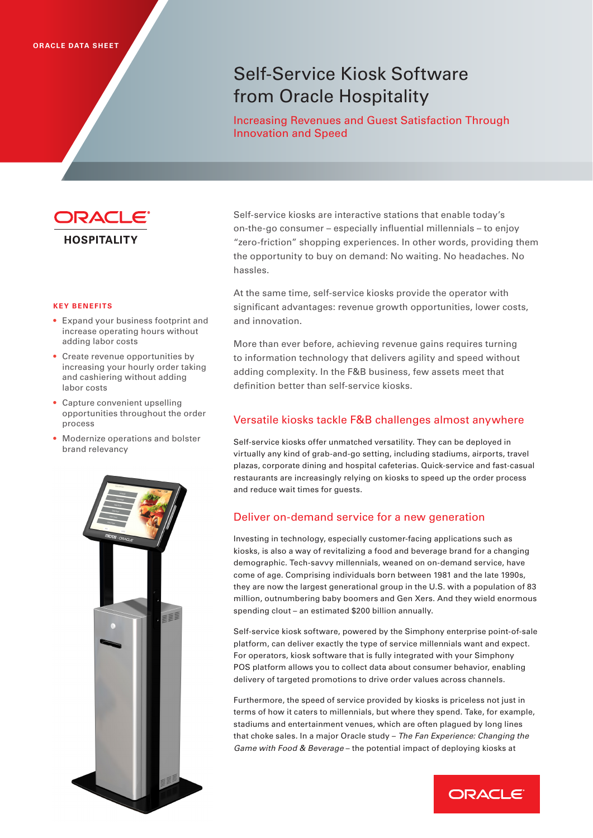# Self-Service Kiosk Software from Oracle Hospitality

Increasing Revenues and Guest Satisfaction Through Innovation and Speed



• Expand your business footprint and increase operating hours without

• Create revenue opportunities by increasing your hourly order taking and cashiering without adding

• Capture convenient upselling opportunities throughout the order

**KEY BENEFITS**

labor costs

process

adding labor costs

Self-service kiosks are interactive stations that enable today's on-the-go consumer – especially influential millennials – to enjoy "zero-friction" shopping experiences. In other words, providing them the opportunity to buy on demand: No waiting. No headaches. No hassles.

At the same time, self-service kiosks provide the operator with significant advantages: revenue growth opportunities, lower costs, and innovation.

More than ever before, achieving revenue gains requires turning to information technology that delivers agility and speed without adding complexity. In the F&B business, few assets meet that definition better than self-service kiosks.

### Versatile kiosks tackle F&B challenges almost anywhere

Self-service kiosks offer unmatched versatility. They can be deployed in virtually any kind of grab-and-go setting, including stadiums, airports, travel plazas, corporate dining and hospital cafeterias. Quick-service and fast-casual restaurants are increasingly relying on kiosks to speed up the order process and reduce wait times for guests.

## Deliver on-demand service for a new generation

Investing in technology, especially customer-facing applications such as kiosks, is also a way of revitalizing a food and beverage brand for a changing demographic. Tech-savvy millennials, weaned on on-demand service, have come of age. Comprising individuals born between 1981 and the late 1990s, they are now the largest generational group in the U.S. with a population of 83 million, outnumbering baby boomers and Gen Xers. And they wield enormous spending clout – an estimated \$200 billion annually.

Self-service kiosk software, powered by the Simphony enterprise point-of-sale platform, can deliver exactly the type of service millennials want and expect. For operators, kiosk software that is fully integrated with your Simphony POS platform allows you to collect data about consumer behavior, enabling delivery of targeted promotions to drive order values across channels.

Furthermore, the speed of service provided by kiosks is priceless not just in terms of how it caters to millennials, but where they spend. Take, for example, stadiums and entertainment venues, which are often plagued by long lines that choke sales. In a major Oracle study – *The Fan Experience: Changing the Game with Food & Beverage* – the potential impact of deploying kiosks at